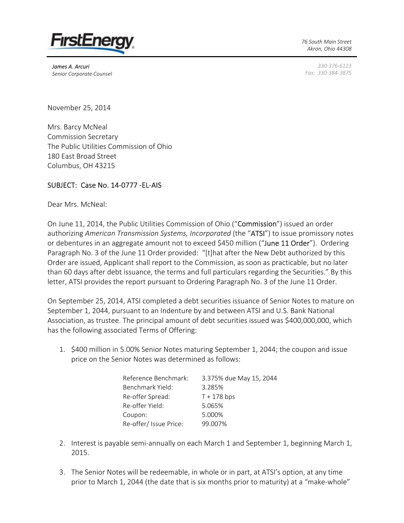

*James A. Arcuri Senior Corporate Counsel* *76 South Main Street Akron, Ohio 44308*

*330-376-6123 Fax: 330-384-3875*

November 25, 2014

Mrs. Barcy McNeal Commission Secretary The Public Utilities Commission of Ohio 180 East Broad Street Columbus, OH 43215

## SUBJECT: Case No. 14-0777 -EL-AIS

Dear Mrs. McNeal:

On June 11, 2014, the Public Utilities Commission of Ohio ("Commission") issued an order authorizing *American Transmission Systems, Incorporated* (the "ATSI") to issue promissory notes or debentures in an aggregate amount not to exceed \$450 million ("June 11 Order"). Ordering Paragraph No. 3 of the June 11 Order provided: "[t]hat after the New Debt authorized by this Order are issued, Applicant shall report to the Commission, as soon as practicable, but no later than 60 days after debt issuance, the terms and full particulars regarding the Securities." By this letter, ATSI provides the report pursuant to Ordering Paragraph No. 3 of the June 11 Order.

On September 25, 2014, ATSI completed a debt securities issuance of Senior Notes to mature on September 1, 2044, pursuant to an Indenture by and between ATSI and U.S. Bank National Association, as trustee. The principal amount of debt securities issued was \$400,000,000, which has the following associated Terms of Offering:

1. \$400 million in 5.00% Senior Notes maturing September 1, 2044; the coupon and issue price on the Senior Notes was determined as follows:

| Reference Benchmark:   | 3.375% due May 15, 2044 |
|------------------------|-------------------------|
| Benchmark Yield:       | 3.285%                  |
| Re-offer Spread:       | $T + 178$ bps           |
| Re-offer Yield:        | 5.065%                  |
| Coupon:                | 5.000%                  |
| Re-offer/ Issue Price: | 99.007%                 |

- 2. Interest is payable semi-annually on each March 1 and September 1, beginning March 1, 2015.
- 3. The Senior Notes will be redeemable, in whole or in part, at ATSI's option, at any time prior to March 1, 2044 (the date that is six months prior to maturity) at a "make-whole"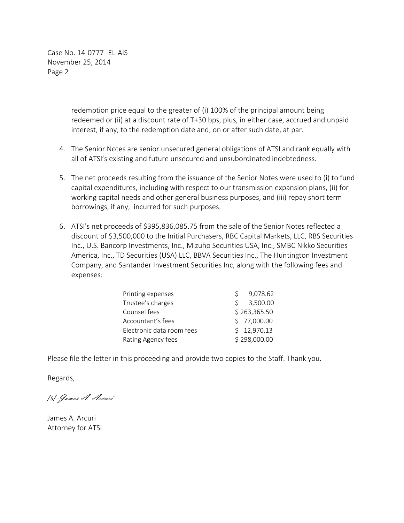Case No. 14-0777 -EL-AIS November 25, 2014 Page 2

> redemption price equal to the greater of (i) 100% of the principal amount being redeemed or (ii) at a discount rate of T+30 bps, plus, in either case, accrued and unpaid interest, if any, to the redemption date and, on or after such date, at par.

- 4. The Senior Notes are senior unsecured general obligations of ATSI and rank equally with all of ATSI's existing and future unsecured and unsubordinated indebtedness.
- 5. The net proceeds resulting from the issuance of the Senior Notes were used to (i) to fund capital expenditures, including with respect to our transmission expansion plans, (ii) for working capital needs and other general business purposes, and (iii) repay short term borrowings, if any, incurred for such purposes.
- 6. ATSI's net proceeds of \$395,836,085.75 from the sale of the Senior Notes reflected a discount of \$3,500,000 to the Initial Purchasers, RBC Capital Markets, LLC, RBS Securities Inc., U.S. Bancorp Investments, Inc., Mizuho Securities USA, Inc., SMBC Nikko Securities America, Inc., TD Securities (USA) LLC, BBVA Securities Inc., The Huntington Investment Company, and Santander Investment Securities Inc, along with the following fees and expenses:

| Printing expenses         |              | 9,078.62     |
|---------------------------|--------------|--------------|
| Trustee's charges         |              | \$3,500.00   |
| Counsel fees              | \$263,365.50 |              |
| Accountant's fees         |              | \$77,000.00  |
| Electronic data room fees |              | \$12,970.13  |
| Rating Agency fees        |              | \$298,000.00 |

Please file the letter in this proceeding and provide two copies to the Staff. Thank you.

Regards,

*/s/* James A. Arcuri

James A. Arcuri Attorney for ATSI